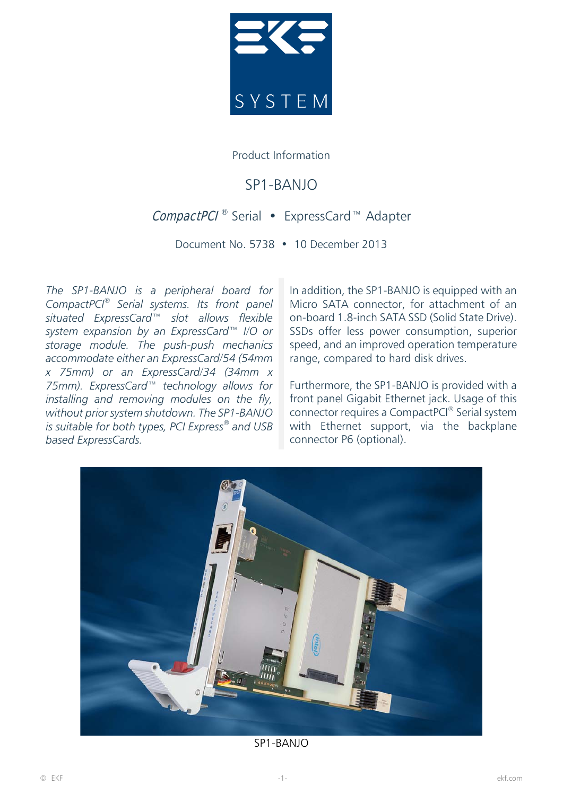

Product Information

# SP1-BANJO

## CompactPCI<sup>®</sup> Serial • ExpressCard™ Adapter

Document No. 5738 • 10 December 2013

*The SP1-BANJO is a peripheral board for CompactPCI® Serial systems. Its front panel situated ExpressCard™ slot allows flexible system expansion by an ExpressCard™ I/O or storage module. The push-push mechanics accommodate either an ExpressCard/54 (54mm x 75mm) or an ExpressCard/34 (34mm x 75mm). ExpressCard™ technology allows for installing and removing modules on the fly, without prior system shutdown. The SP1-BANJO is suitable for both types, PCI Express® and USB based ExpressCards.*

In addition, the SP1-BANJO is equipped with an Micro SATA connector, for attachment of an on-board 1.8-inch SATA SSD (Solid State Drive). SSDs offer less power consumption, superior speed, and an improved operation temperature range, compared to hard disk drives.

Furthermore, the SP1-BANJO is provided with a front panel Gigabit Ethernet jack. Usage of this connector requires a CompactPCI® Serial system with Ethernet support, via the backplane connector P6 (optional).



SP1-BANJO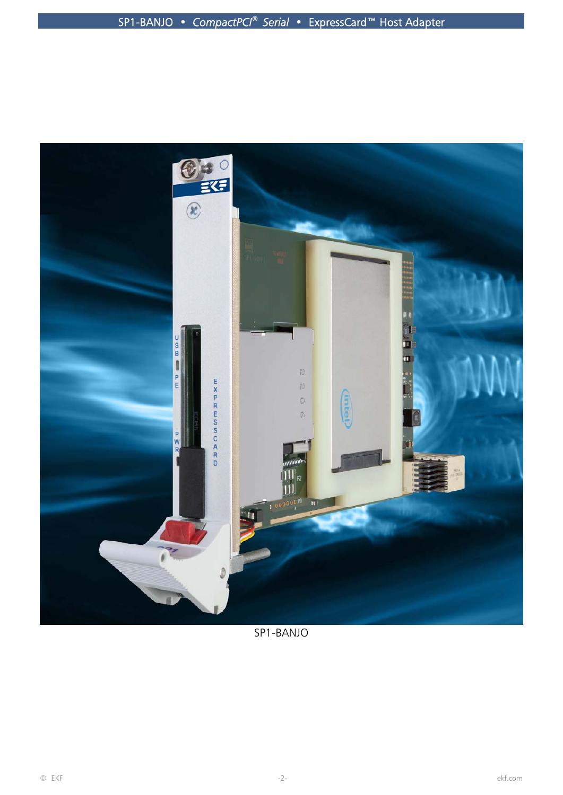

SP1-BANJO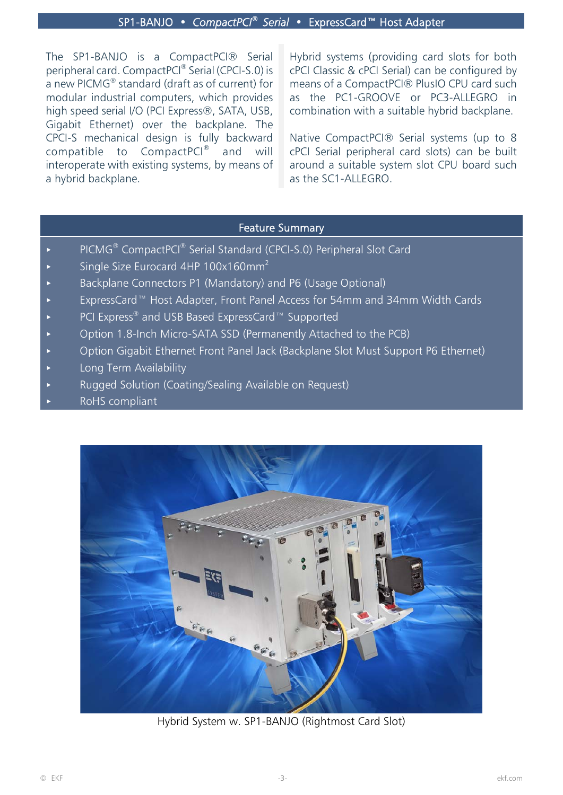The SP1-BANJO is a CompactPCI® Serial peripheral card. CompactPCI® Serial (CPCI-S.0) is a new PICMG® standard (draft as of current) for modular industrial computers, which provides high speed serial I/O (PCI Express®, SATA, USB, Gigabit Ethernet) over the backplane. The CPCI-S mechanical design is fully backward compatible to CompactPCI® and will interoperate with existing systems, by means of a hybrid backplane.

Hybrid systems (providing card slots for both cPCI Classic & cPCI Serial) can be configured by means of a CompactPCI® PlusIO CPU card such as the PC1-GROOVE or PC3-ALLEGRO in combination with a suitable hybrid backplane.

Native CompactPCI® Serial systems (up to 8 cPCI Serial peripheral card slots) can be built around a suitable system slot CPU board such as the SC1-ALLEGRO.

#### Feature Summary

- PICMG<sup>®</sup> CompactPCI<sup>®</sup> Serial Standard (CPCI-S.0) Peripheral Slot Card
- Single Size Eurocard 4HP 100x160mm<sup>2</sup>
- < Backplane Connectors P1 (Mandatory) and P6 (Usage Optional)
- ExpressCard™ Host Adapter, Front Panel Access for 54mm and 34mm Width Cards
- PCI Express® and USB Based ExpressCard™ Supported
- < Option 1.8-Inch Micro-SATA SSD (Permanently Attached to the PCB)
- < Option Gigabit Ethernet Front Panel Jack (Backplane Slot Must Support P6 Ethernet)
- < Long Term Availability
- < Rugged Solution (Coating/Sealing Available on Request)
- < RoHS compliant



Hybrid System w. SP1-BANJO (Rightmost Card Slot)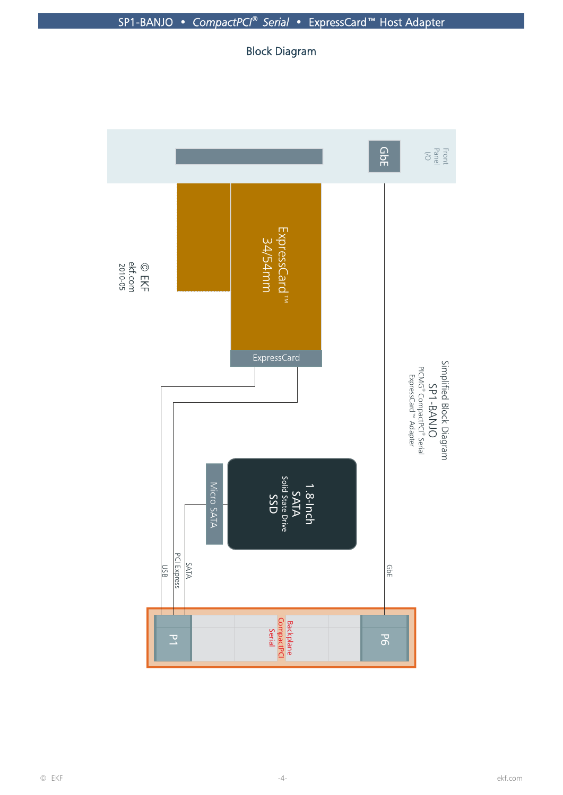Block Diagram

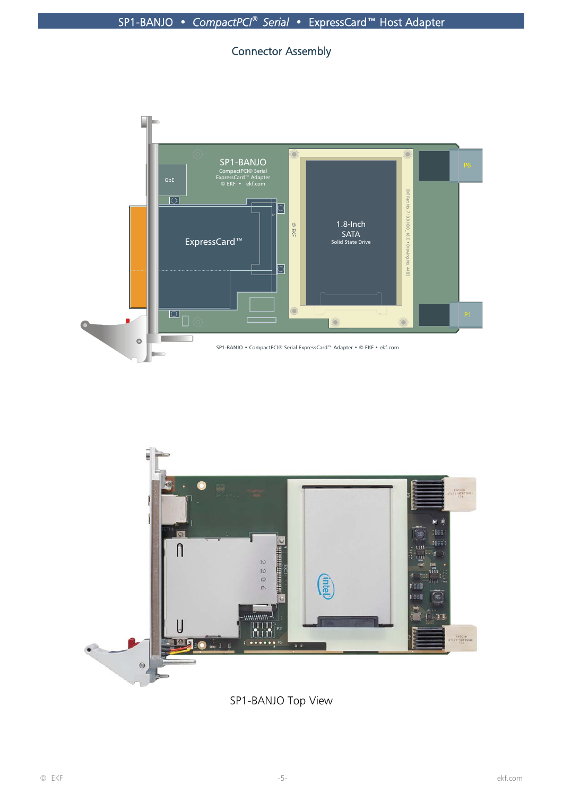### Connector Assembly





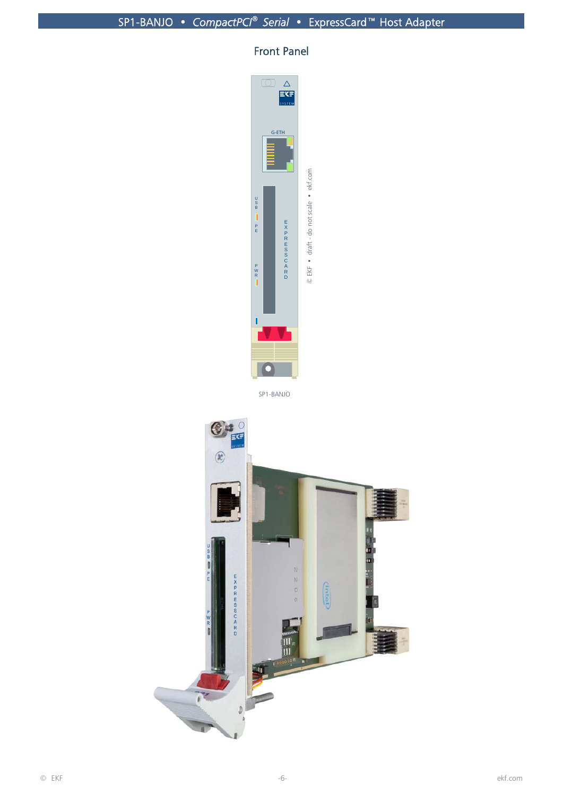## Front Panel



SP1-BANJO

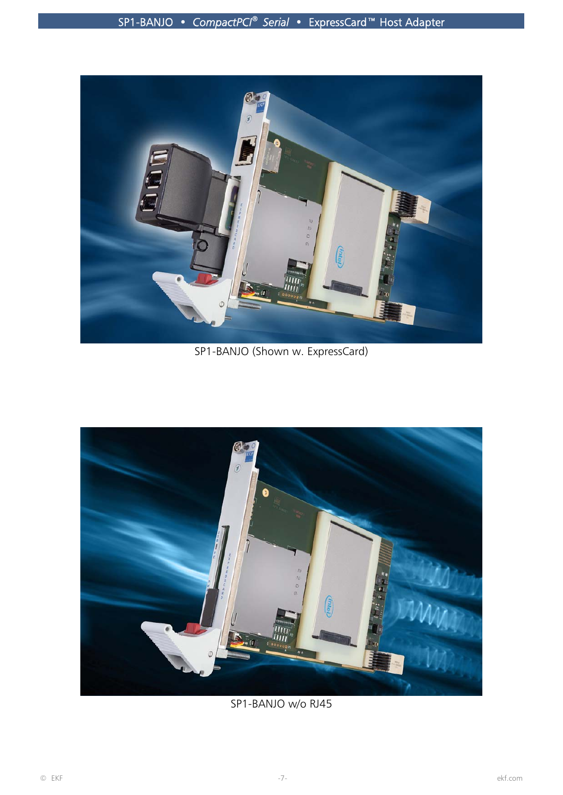

SP1-BANJO (Shown w. ExpressCard)



SP1-BANJO w/o RJ45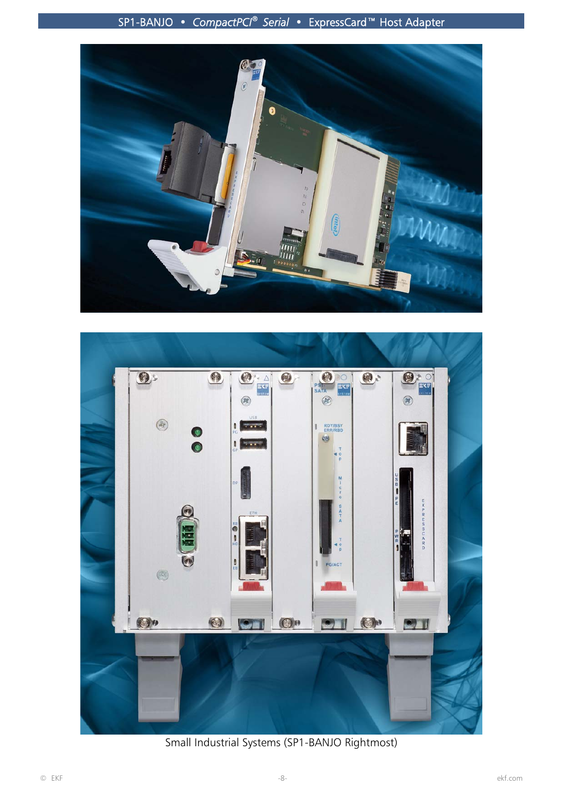



Small Industrial Systems (SP1-BANJO Rightmost)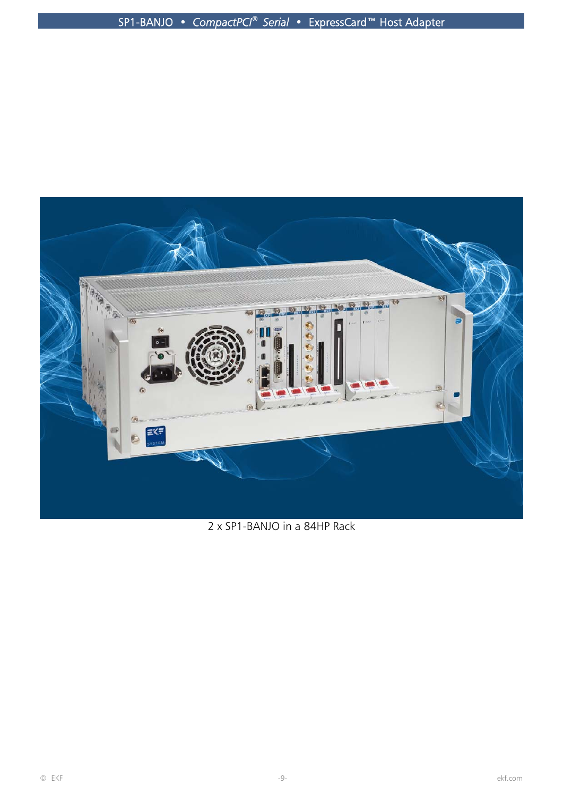

2 x SP1-BANJO in a 84HP Rack